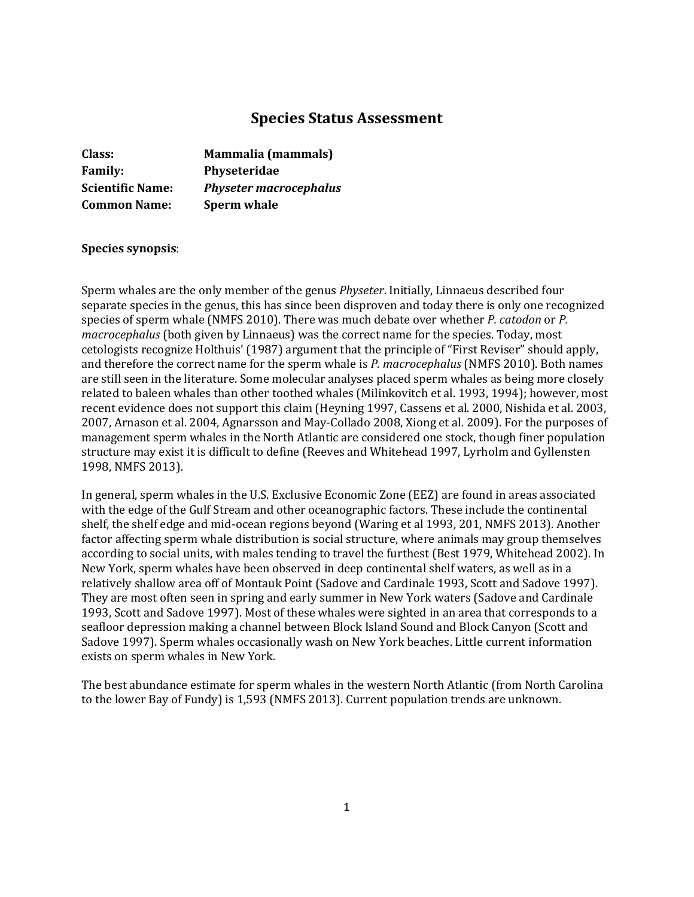# **Species Status Assessment**

| Class:                  | <b>Mammalia (mammals)</b>     |
|-------------------------|-------------------------------|
| <b>Family:</b>          | Physeteridae                  |
| <b>Scientific Name:</b> | <b>Physeter macrocephalus</b> |
| <b>Common Name:</b>     | <b>Sperm whale</b>            |

## **Species synopsis**:

Sperm whales are the only member of the genus *Physeter*. Initially, Linnaeus described four separate species in the genus, this has since been disproven and today there is only one recognized species of sperm whale (NMFS 2010). There was much debate over whether *P. catodon* or *P. macrocephalus* (both given by Linnaeus) was the correct name for the species. Today, most cetologists recognize Holthuis' (1987) argument that the principle of "First Reviser" should apply, and therefore the correct name for the sperm whale is *P. macrocephalus* (NMFS 2010). Both names are still seen in the literature. Some molecular analyses placed sperm whales as being more closely related to baleen whales than other toothed whales (Milinkovitch et al. 1993, 1994); however, most recent evidence does not support this claim (Heyning 1997, Cassens et al. 2000, Nishida et al. 2003, 2007, Arnason et al. 2004, Agnarsson and May-Collado 2008, Xiong et al. 2009). For the purposes of management sperm whales in the North Atlantic are considered one stock, though finer population structure may exist it is difficult to define (Reeves and Whitehead 1997, Lyrholm and Gyllensten 1998, NMFS 2013).

In general, sperm whales in the U.S. Exclusive Economic Zone (EEZ) are found in areas associated with the edge of the Gulf Stream and other oceanographic factors. These include the continental shelf, the shelf edge and mid-ocean regions beyond (Waring et al 1993, 201, NMFS 2013). Another factor affecting sperm whale distribution is social structure, where animals may group themselves according to social units, with males tending to travel the furthest (Best 1979, Whitehead 2002). In New York, sperm whales have been observed in deep continental shelf waters, as well as in a relatively shallow area off of Montauk Point (Sadove and Cardinale 1993, Scott and Sadove 1997). They are most often seen in spring and early summer in New York waters (Sadove and Cardinale 1993, Scott and Sadove 1997). Most of these whales were sighted in an area that corresponds to a seafloor depression making a channel between Block Island Sound and Block Canyon (Scott and Sadove 1997). Sperm whales occasionally wash on New York beaches. Little current information exists on sperm whales in New York.

The best abundance estimate for sperm whales in the western North Atlantic (from North Carolina to the lower Bay of Fundy) is 1,593 (NMFS 2013). Current population trends are unknown.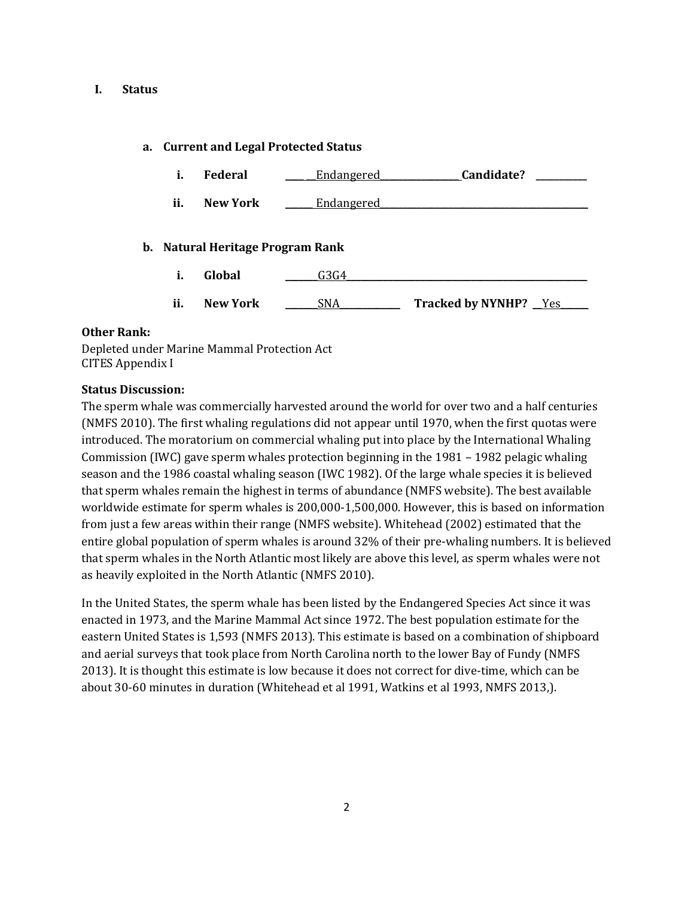#### **I. Status**

## **a. Current and Legal Protected Status**

| i.                               | Federal         | Endangered | Candidate?                   |  |  |
|----------------------------------|-----------------|------------|------------------------------|--|--|
| ii.                              | <b>New York</b> | Endangered |                              |  |  |
| b. Natural Heritage Program Rank |                 |            |                              |  |  |
| i.                               | Global          | G3G4       |                              |  |  |
| ii.                              | <b>New York</b> | SNA.       | <b>Tracked by NYNHP?</b> Yes |  |  |

#### **Other Rank:**

Depleted under Marine Mammal Protection Act CITES Appendix I

#### **Status Discussion:**

The sperm whale was commercially harvested around the world for over two and a half centuries (NMFS 2010). The first whaling regulations did not appear until 1970, when the first quotas were introduced. The moratorium on commercial whaling put into place by the International Whaling Commission (IWC) gave sperm whales protection beginning in the 1981 – 1982 pelagic whaling season and the 1986 coastal whaling season (IWC 1982). Of the large whale species it is believed that sperm whales remain the highest in terms of abundance (NMFS website). The best available worldwide estimate for sperm whales is 200,000-1,500,000. However, this is based on information from just a few areas within their range (NMFS website). Whitehead (2002) estimated that the entire global population of sperm whales is around 32% of their pre-whaling numbers. It is believed that sperm whales in the North Atlantic most likely are above this level, as sperm whales were not as heavily exploited in the North Atlantic (NMFS 2010).

In the United States, the sperm whale has been listed by the Endangered Species Act since it was enacted in 1973, and the Marine Mammal Act since 1972. The best population estimate for the eastern United States is 1,593 (NMFS 2013). This estimate is based on a combination of shipboard and aerial surveys that took place from North Carolina north to the lower Bay of Fundy (NMFS 2013). It is thought this estimate is low because it does not correct for dive-time, which can be about 30-60 minutes in duration (Whitehead et al 1991, Watkins et al 1993, NMFS 2013,).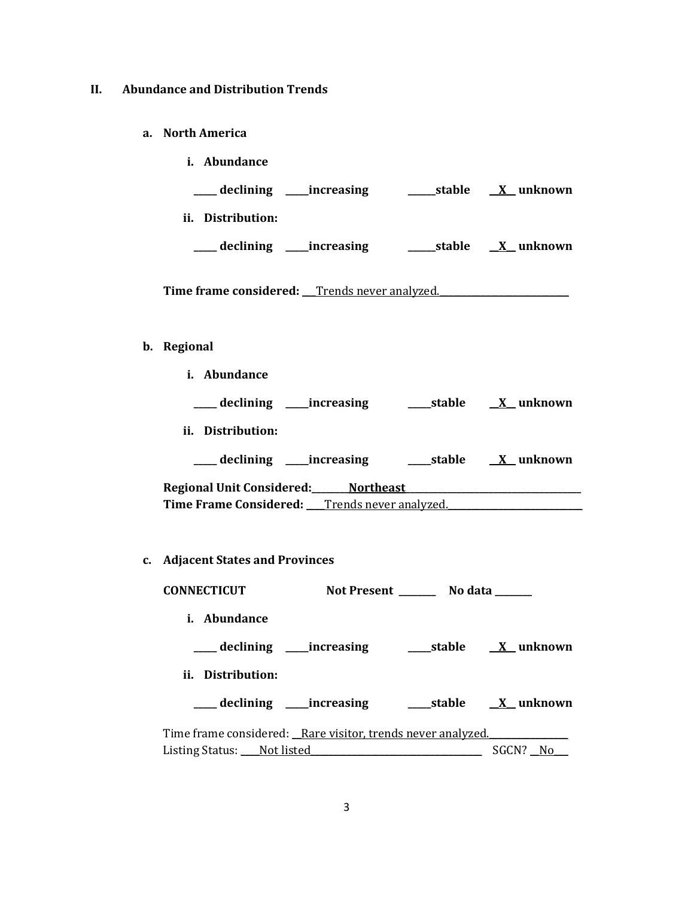# **II. Abundance and Distribution Trends**

**a. North America**

| stable | X unknown |
|--------|-----------|
|        |           |
| stable | X unknown |
|        |           |

Time frame considered: <u>Trends never analyzed.</u>

# **b. Regional**

| i. Abundance                                  |                     |  |
|-----------------------------------------------|---------------------|--|
|                                               |                     |  |
| ii. Distribution:                             |                     |  |
|                                               |                     |  |
| Regional Unit Considered: Northeast Northeast |                     |  |
| Time Frame Considered: Trends never analyzed. |                     |  |
|                                               |                     |  |
| c. Adjacent States and Provinces              |                     |  |
| <b>CONNECTICUT</b>                            | Not Present No data |  |

| Abundance<br>i.                                             |  |                         |
|-------------------------------------------------------------|--|-------------------------|
| ____ declining _____increasing                              |  | stable <u>X</u> unknown |
| ii. Distribution:                                           |  |                         |
| ____ declining ______ increasing                            |  | stable X unknown        |
| Time frame considered: Rare visitor, trends never analyzed. |  |                         |
| Listing Status: Not listed                                  |  | SGCN?                   |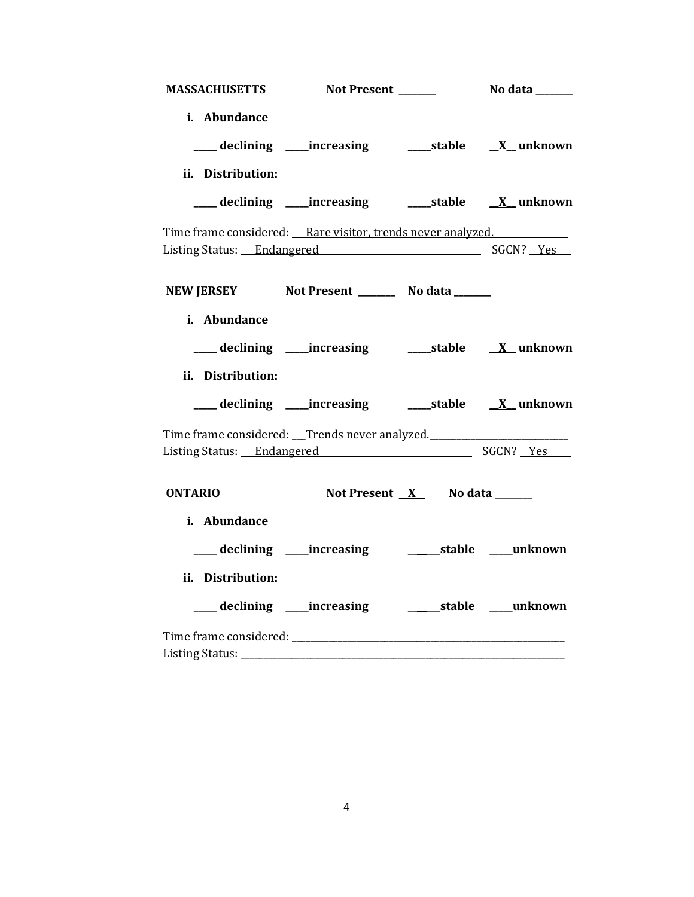| <b>MASSACHUSETTS</b>    | Not Present ______                                                                                  | No data _______ |
|-------------------------|-----------------------------------------------------------------------------------------------------|-----------------|
| i. Abundance            |                                                                                                     |                 |
|                         | ___ declining ____increasing ______stable ___ X__unknown                                            |                 |
| ii. Distribution:       |                                                                                                     |                 |
|                         |                                                                                                     |                 |
|                         | Time frame considered: Rare visitor, trends never analyzed.<br>Listing Status: Endangered SGCN? Yes |                 |
|                         | NEW JERSEY Not Present __________ No data _______                                                   |                 |
| i. Abundance            |                                                                                                     |                 |
|                         |                                                                                                     |                 |
| ii. Distribution:       |                                                                                                     |                 |
|                         | ___ declining ____increasing ______stable _____X_unknown                                            |                 |
|                         | Time frame considered: Trends never analyzed.<br>Listing Status: Endangered SGCN? Yes               |                 |
| <b>ONTARIO</b>          | Not Present <u>X</u> No data ______                                                                 |                 |
| i. Abundance            |                                                                                                     |                 |
|                         | ___ declining ____increasing _____________stable ____unknown                                        |                 |
| ii. Distribution:       |                                                                                                     |                 |
|                         | ___ declining ___ increasing ____________stable _____unknown                                        |                 |
| Listing Status: _______ |                                                                                                     |                 |
|                         |                                                                                                     |                 |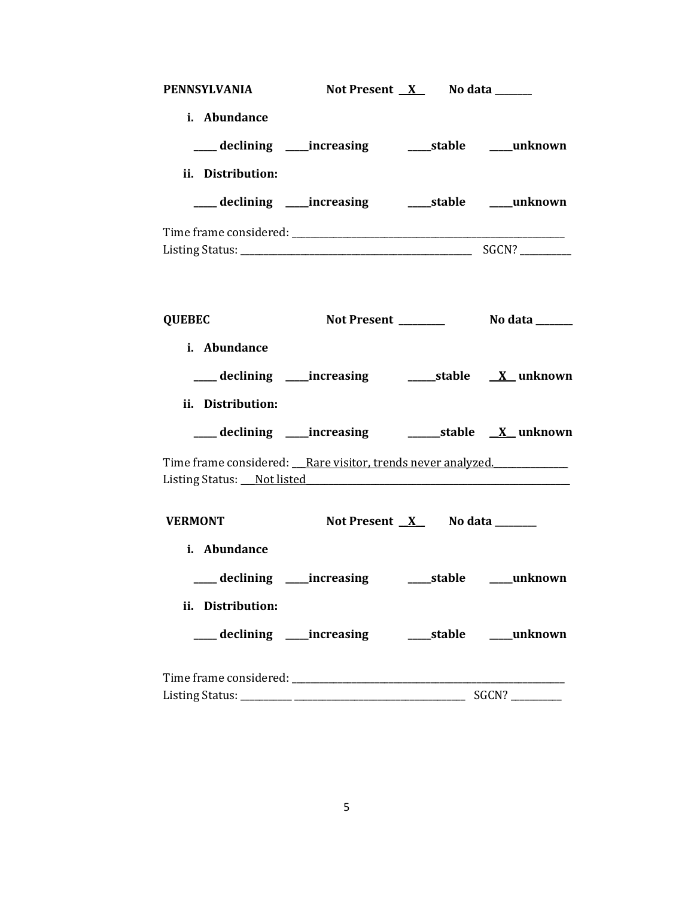| <b>PENNSYLVANIA</b>                                                                                                                  | Not Present <u>X</u> No data ______ |                                 |  |
|--------------------------------------------------------------------------------------------------------------------------------------|-------------------------------------|---------------------------------|--|
| i. Abundance<br>___ declining ____increasing ______stable ____unknown                                                                |                                     |                                 |  |
| ii. Distribution:                                                                                                                    |                                     |                                 |  |
| ___ declining ____increasing ______stable ____unknown                                                                                |                                     |                                 |  |
|                                                                                                                                      |                                     |                                 |  |
| <b>QUEBEC</b>                                                                                                                        |                                     |                                 |  |
| i. Abundance                                                                                                                         |                                     |                                 |  |
|                                                                                                                                      |                                     |                                 |  |
| ii. Distribution:                                                                                                                    |                                     |                                 |  |
|                                                                                                                                      |                                     |                                 |  |
| Time frame considered: Rare visitor, trends never analyzed.<br>Listing Status: Not listed Manual Assembly Disting Status: Not listed |                                     |                                 |  |
| <b>VERMONT</b>                                                                                                                       |                                     | Not Present $X$ No data _______ |  |
| i. Abundance                                                                                                                         |                                     |                                 |  |
|                                                                                                                                      |                                     |                                 |  |
| ii. Distribution:                                                                                                                    |                                     |                                 |  |
| ___ declining ____increasing _______stable _____unknown                                                                              |                                     |                                 |  |
|                                                                                                                                      |                                     |                                 |  |
|                                                                                                                                      |                                     |                                 |  |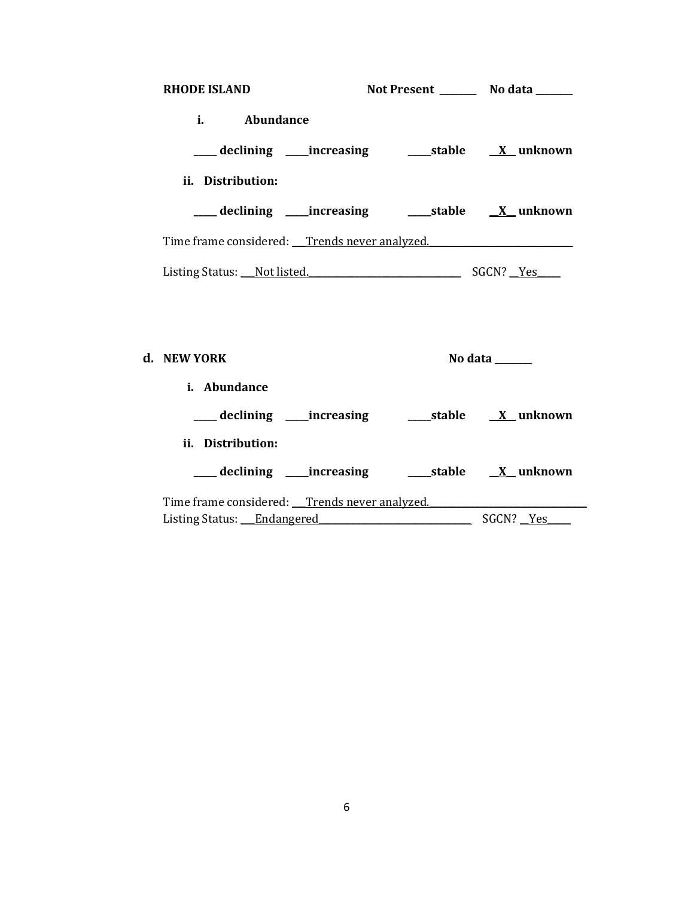| <b>RHODE ISLAND</b>                           |  | Not Present ________ No data ______ |
|-----------------------------------------------|--|-------------------------------------|
| $i.$ $\sim$<br>Abundance                      |  |                                     |
|                                               |  |                                     |
| ii. Distribution:                             |  |                                     |
|                                               |  |                                     |
| Time frame considered: Trends never analyzed. |  |                                     |
| Listing Status: Not listed.                   |  | SGCN? Yes                           |
|                                               |  |                                     |

| d. NEW YORK                                   | No data                    |
|-----------------------------------------------|----------------------------|
| <i>i.</i> Abundance                           |                            |
| ___ declining ____increasing                  | stable         X   unknown |
| ii. Distribution:                             |                            |
| ___ declining _____increasing                 | stable X unknown           |
| Time frame considered: Trends never analyzed. |                            |
| Listing Status: Endangered                    | SGCN? Yes                  |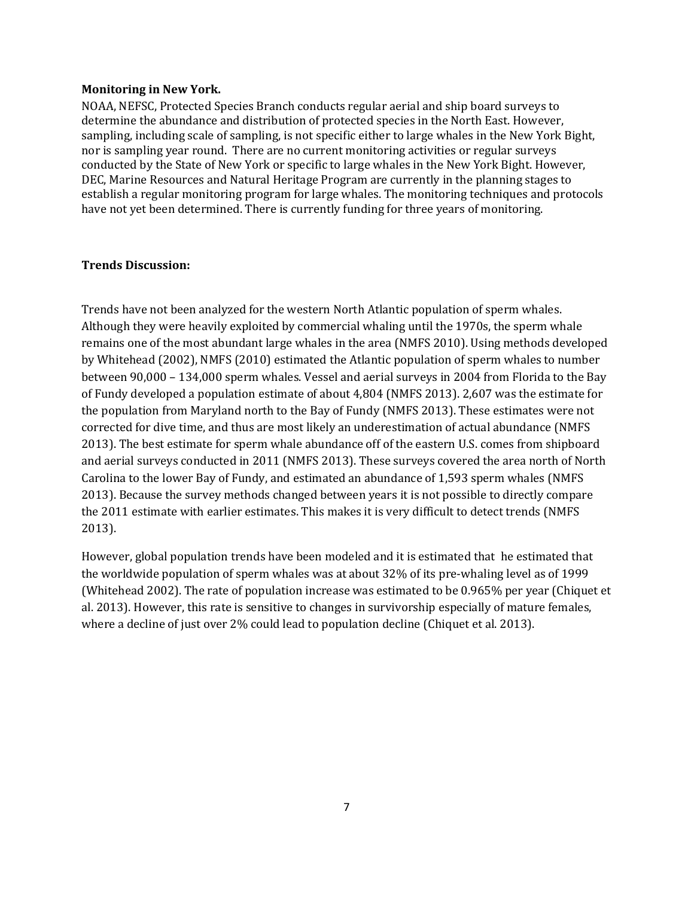#### **Monitoring in New York.**

NOAA, NEFSC, Protected Species Branch conducts regular aerial and ship board surveys to determine the abundance and distribution of protected species in the North East. However, sampling, including scale of sampling, is not specific either to large whales in the New York Bight, nor is sampling year round. There are no current monitoring activities or regular surveys conducted by the State of New York or specific to large whales in the New York Bight. However, DEC, Marine Resources and Natural Heritage Program are currently in the planning stages to establish a regular monitoring program for large whales. The monitoring techniques and protocols have not yet been determined. There is currently funding for three years of monitoring.

## **Trends Discussion:**

Trends have not been analyzed for the western North Atlantic population of sperm whales. Although they were heavily exploited by commercial whaling until the 1970s, the sperm whale remains one of the most abundant large whales in the area (NMFS 2010). Using methods developed by Whitehead (2002), NMFS (2010) estimated the Atlantic population of sperm whales to number between 90,000 – 134,000 sperm whales. Vessel and aerial surveys in 2004 from Florida to the Bay of Fundy developed a population estimate of about 4,804 (NMFS 2013). 2,607 was the estimate for the population from Maryland north to the Bay of Fundy (NMFS 2013). These estimates were not corrected for dive time, and thus are most likely an underestimation of actual abundance (NMFS 2013). The best estimate for sperm whale abundance off of the eastern U.S. comes from shipboard and aerial surveys conducted in 2011 (NMFS 2013). These surveys covered the area north of North Carolina to the lower Bay of Fundy, and estimated an abundance of 1,593 sperm whales (NMFS 2013). Because the survey methods changed between years it is not possible to directly compare the 2011 estimate with earlier estimates. This makes it is very difficult to detect trends (NMFS 2013).

However, global population trends have been modeled and it is estimated that he estimated that the worldwide population of sperm whales was at about 32% of its pre-whaling level as of 1999 (Whitehead 2002). The rate of population increase was estimated to be 0.965% per year (Chiquet et al. 2013). However, this rate is sensitive to changes in survivorship especially of mature females, where a decline of just over 2% could lead to population decline (Chiquet et al. 2013).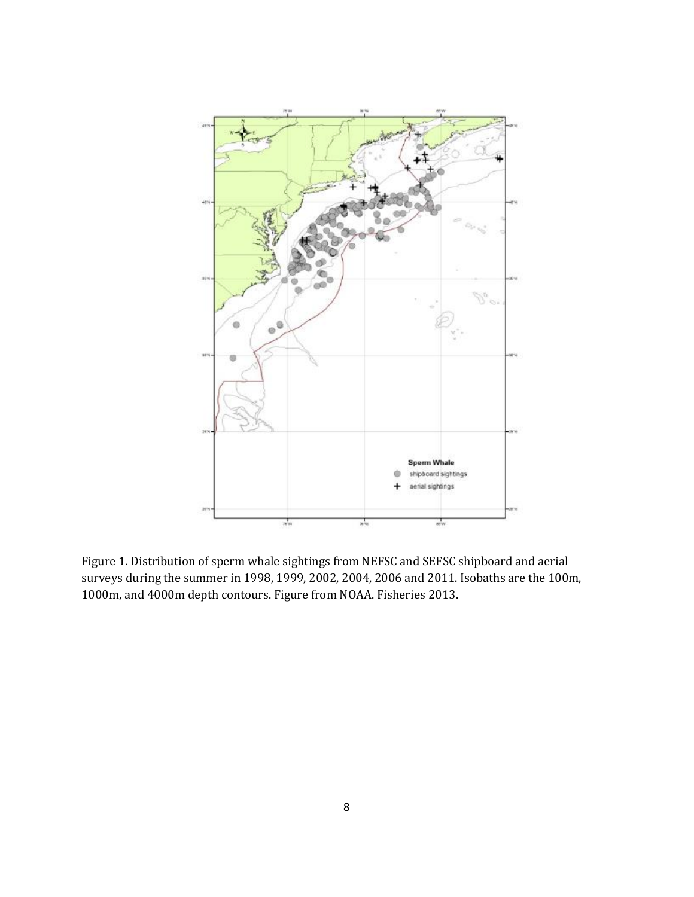

Figure 1. Distribution of sperm whale sightings from NEFSC and SEFSC shipboard and aerial surveys during the summer in 1998, 1999, 2002, 2004, 2006 and 2011. Isobaths are the 100m, 1000m, and 4000m depth contours. Figure from NOAA. Fisheries 2013.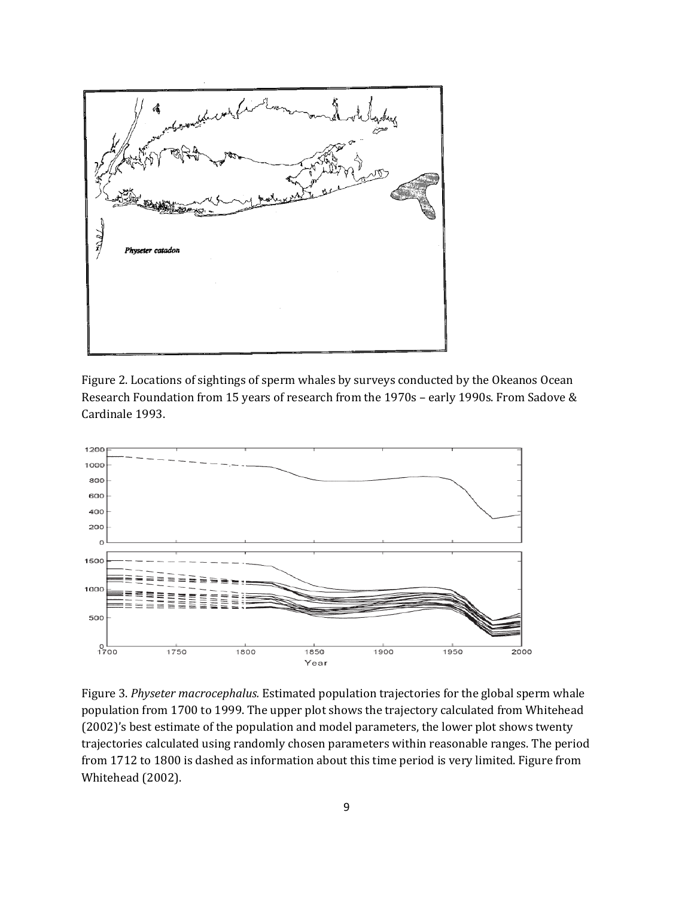

Figure 2. Locations of sightings of sperm whales by surveys conducted by the Okeanos Ocean Research Foundation from 15 years of research from the 1970s – early 1990s. From Sadove & Cardinale 1993.



Figure 3. *Physeter macrocephalus.* Estimated population trajectories for the global sperm whale population from 1700 to 1999. The upper plot shows the trajectory calculated from Whitehead (2002)'s best estimate of the population and model parameters, the lower plot shows twenty trajectories calculated using randomly chosen parameters within reasonable ranges. The period from 1712 to 1800 is dashed as information about this time period is very limited. Figure from Whitehead (2002).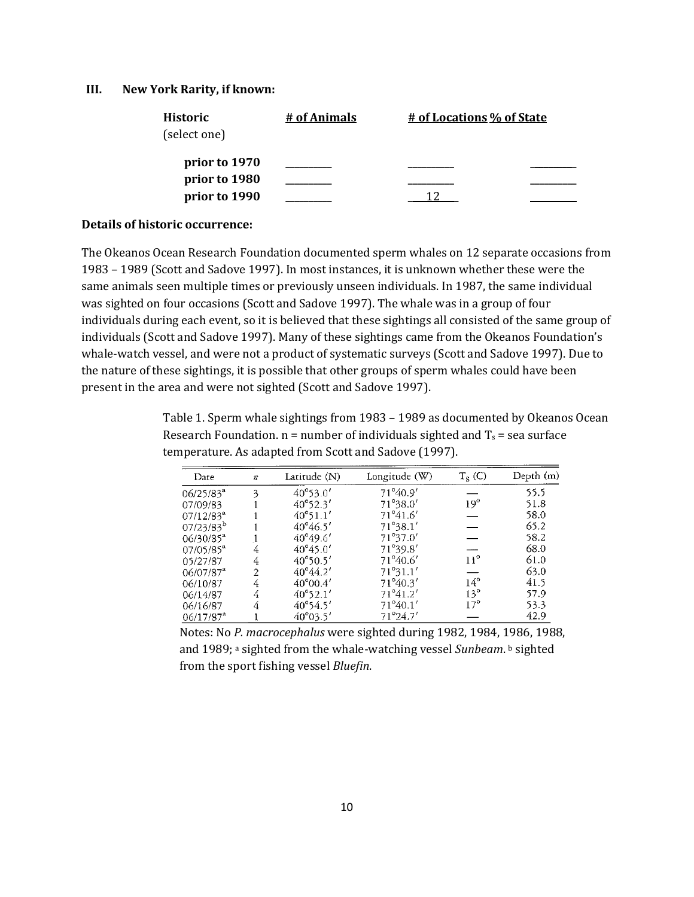#### **III. New York Rarity, if known:**

| <b>Historic</b> | # of Animals | # of Locations % of State |  |
|-----------------|--------------|---------------------------|--|
| (select one)    |              |                           |  |
| prior to 1970   |              |                           |  |
| prior to 1980   |              |                           |  |
| prior to 1990   |              |                           |  |

#### **Details of historic occurrence:**

The Okeanos Ocean Research Foundation documented sperm whales on 12 separate occasions from 1983 – 1989 (Scott and Sadove 1997). In most instances, it is unknown whether these were the same animals seen multiple times or previously unseen individuals. In 1987, the same individual was sighted on four occasions (Scott and Sadove 1997). The whale was in a group of four individuals during each event, so it is believed that these sightings all consisted of the same group of individuals (Scott and Sadove 1997). Many of these sightings came from the Okeanos Foundation's whale-watch vessel, and were not a product of systematic surveys (Scott and Sadove 1997). Due to the nature of these sightings, it is possible that other groups of sperm whales could have been present in the area and were not sighted (Scott and Sadove 1997).

> Table 1. Sperm whale sightings from 1983 – 1989 as documented by Okeanos Ocean Research Foundation.  $n =$  number of individuals sighted and  $T_s$  = sea surface temperature. As adapted from Scott and Sadove (1997).

| Date                    | $\boldsymbol{n}$ | Latitude (N)      | Longitude (W)     | $T_S$ (C)    | Depth (m) |
|-------------------------|------------------|-------------------|-------------------|--------------|-----------|
| $06/25/83^{a}$          | 3                | 40°53.0'          | 71°40.9'          |              | 55.5      |
| 07/09/83                |                  | $40^{\circ}52.3'$ | 71°38.0'          | $19^\circ$   | 51.8      |
| $07/12/83^a$            |                  | $40^{\circ}51.1'$ | $71^{\circ}41.6'$ |              | 58.0      |
| 07/23/83 <sup>b</sup>   |                  | $40^{\circ}46.5'$ | $71^{\circ}38.1'$ |              | 65.2      |
| $06/30/85^a$            |                  | 40°49.6'          | 71°37.0'          |              | 58.2      |
| 07/05/85 <sup>a</sup>   | 4                | $40^{\circ}45.0'$ | 71°39.8'          |              | 68.0      |
| 05/27/87                | 4                | $40^{\circ}50.5'$ | 71°40.6'          | $11^{\circ}$ | 61.0      |
| $06/07/87^{\circ}$      | 2                | $40^{\circ}44.2'$ | 71°31.1'          |              | 63.0      |
| 06/10/87                | 4                | $40^{\circ}00.4'$ | $71^{\circ}40.3'$ | $14^{\circ}$ | 41.5      |
| 06/14/87                | 4                | $40^{\circ}52.1'$ | 71°41.2'          | $13^{\circ}$ | 57.9      |
| 06/16/87                | 4                | $40^{\circ}54.5'$ | $71^{\circ}40.1'$ | $17^{\circ}$ | 53.3      |
| $06/17/87$ <sup>a</sup> |                  | 40°03.5'          | 71°24.7'          |              | 42.9      |

Notes: No *P. macrocephalus* were sighted during 1982, 1984, 1986, 1988, and 1989; a sighted from the whale-watching vessel Sunbeam. **b** sighted from the sport fishing vessel *Bluefin*.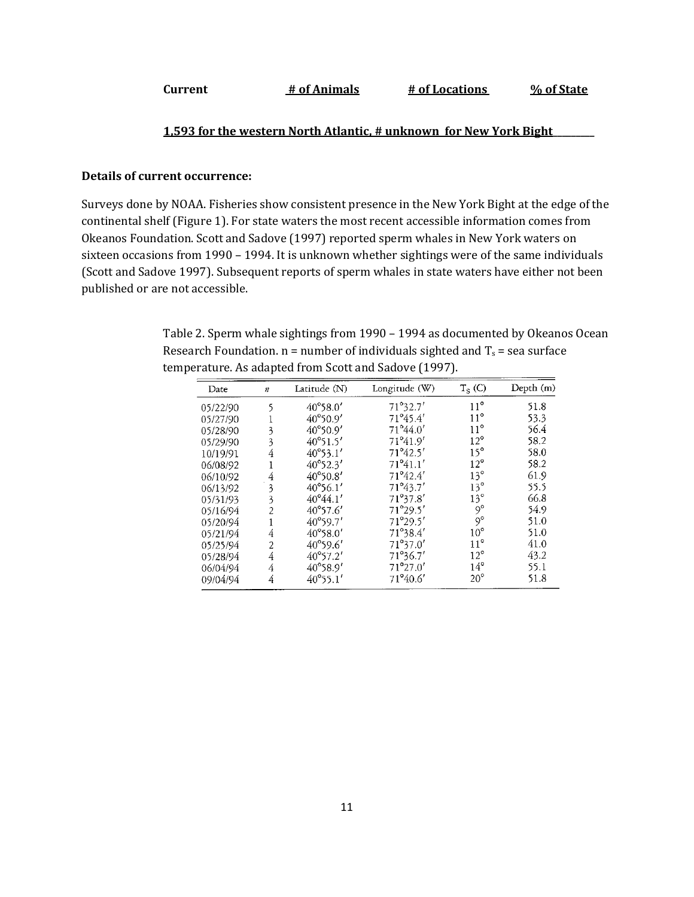| # of Animals<br>Current<br># of Locations | % of State |
|-------------------------------------------|------------|
|-------------------------------------------|------------|

## **1,593 for the western North Atlantic, # unknown for New York Bight\_\_\_\_\_\_\_\_\_**

#### **Details of current occurrence:**

Surveys done by NOAA. Fisheries show consistent presence in the New York Bight at the edge of the continental shelf (Figure 1). For state waters the most recent accessible information comes from Okeanos Foundation. Scott and Sadove (1997) reported sperm whales in New York waters on sixteen occasions from 1990 – 1994. It is unknown whether sightings were of the same individuals (Scott and Sadove 1997). Subsequent reports of sperm whales in state waters have either not been published or are not accessible.

> Table 2. Sperm whale sightings from 1990 – 1994 as documented by Okeanos Ocean Research Foundation.  $n =$  number of individuals sighted and  $T_s$  = sea surface temperature. As adapted from Scott and Sadove (1997).

| Date     | $\boldsymbol{n}$        | Latitude (N)      | Longitude (W)     | $T_S$ (C)             | Depth(m) |
|----------|-------------------------|-------------------|-------------------|-----------------------|----------|
| 05/22/90 | 5                       | 40°58.0'          | 71°32.7'          | $11^{\circ}$          | 51.8     |
| 05/27/90 |                         | 40°50.9'          | 71°45.4'          | $11^{\circ}$          | 53.3     |
| 05/28/90 | 3                       | 40°50.9'          | 71°44.0'          | $11^{\circ}$          | 56.4     |
| 05/29/90 | 3                       | 40°51.5'          | 71°41.9'          | $12^{\circ}$          | 58.2     |
| 10/19/91 | 4                       | 40°53.1'          | 71°42.5'          | $15^\circ$            | 58.0     |
| 06/08/92 |                         | 40°52.3'          | 71°41.1'          | $12^{\circ}$          | 58.2     |
| 06/10/92 | 4                       | $40^{\circ}50.8'$ | 71°42.4'          | $13^{\circ}$          | 61.9     |
| 06/13/92 | $\overline{\mathbf{3}}$ | $40^{\circ}56.1'$ | 71°43.7'          | $13^{\circ}$          | 55.5     |
| 05/31/93 | 3                       | $40^{\circ}44.1'$ | 71°37.8'          | $13^{\circ}$          | 66.8     |
| 05/16/94 | 2                       | $40^{\circ}57.6'$ | 71°29.5'          | $\mathcal{O}^{\circ}$ | 54.9     |
| 05/20/94 |                         | 40°59.7'          | 71°29.5'          | $9^{\circ}$           | 51.0     |
| 05/21/94 | 4                       | 40°58.0'          | 71°38.4'          | $10^{\circ}$          | 51.0     |
| 05/25/94 | 2                       | 40°59.6'          | 71°37.0'          | $11^{\circ}$          | 41.0     |
| 05/28/94 | 4                       | 40°57.2'          | 71°36.7'          | $12^{\circ}$          | 43.2     |
| 06/04/94 | 4                       | 40°58.9'          | $71^{\circ}27.0'$ | $14^{\circ}$          | 55.1     |
| 09/04/94 | 4                       | 40°55.1'          | 71°40.6'          | $20^{\circ}$          | 51.8     |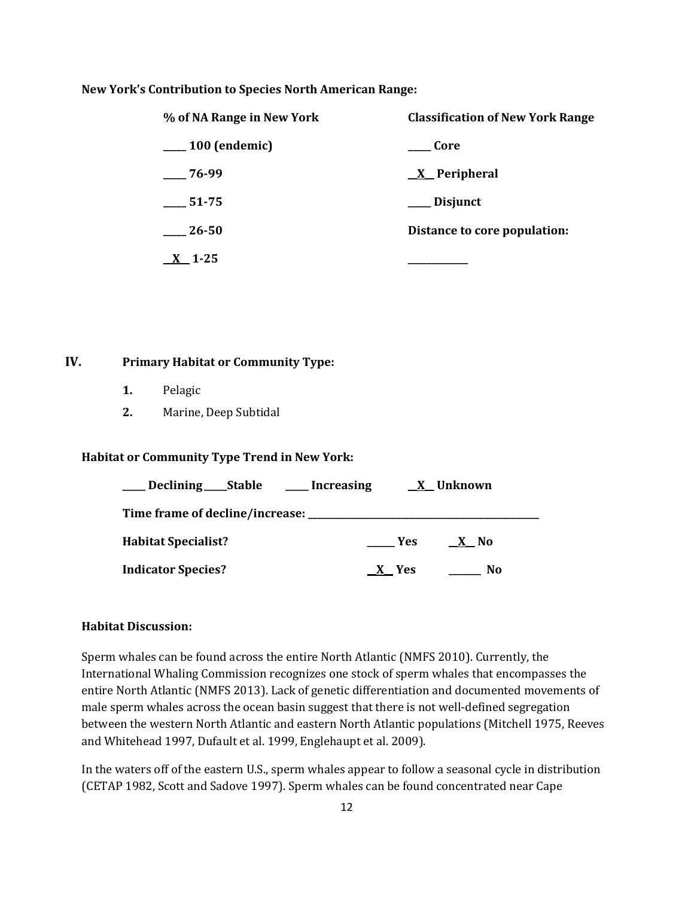#### **New York's Contribution to Species North American Range:**

| % of NA Range in New York | <b>Classification of New York Range</b> |  |  |
|---------------------------|-----------------------------------------|--|--|
| $\_\_100$ (endemic)       | ___ Core                                |  |  |
| $-76-99$                  | $X$ Peripheral                          |  |  |
| 51-75                     | __ Disjunct                             |  |  |
| 26-50                     | Distance to core population:            |  |  |
| - 1-25                    |                                         |  |  |

# **IV. Primary Habitat or Community Type:**

- **1.** Pelagic
- **2.** Marine, Deep Subtidal

## **Habitat or Community Type Trend in New York:**

| ____ Declining ____ Stable _____ Increasing |                   | X Unknown      |
|---------------------------------------------|-------------------|----------------|
| Time frame of decline/increase:             |                   |                |
| <b>Habitat Specialist?</b>                  | <b>Example SE</b> | X No           |
| <b>Indicator Species?</b>                   | X Yes             | N <sub>0</sub> |

#### **Habitat Discussion:**

Sperm whales can be found across the entire North Atlantic (NMFS 2010). Currently, the International Whaling Commission recognizes one stock of sperm whales that encompasses the entire North Atlantic (NMFS 2013). Lack of genetic differentiation and documented movements of male sperm whales across the ocean basin suggest that there is not well-defined segregation between the western North Atlantic and eastern North Atlantic populations (Mitchell 1975, Reeves and Whitehead 1997, Dufault et al. 1999, Englehaupt et al. 2009).

In the waters off of the eastern U.S., sperm whales appear to follow a seasonal cycle in distribution (CETAP 1982, Scott and Sadove 1997). Sperm whales can be found concentrated near Cape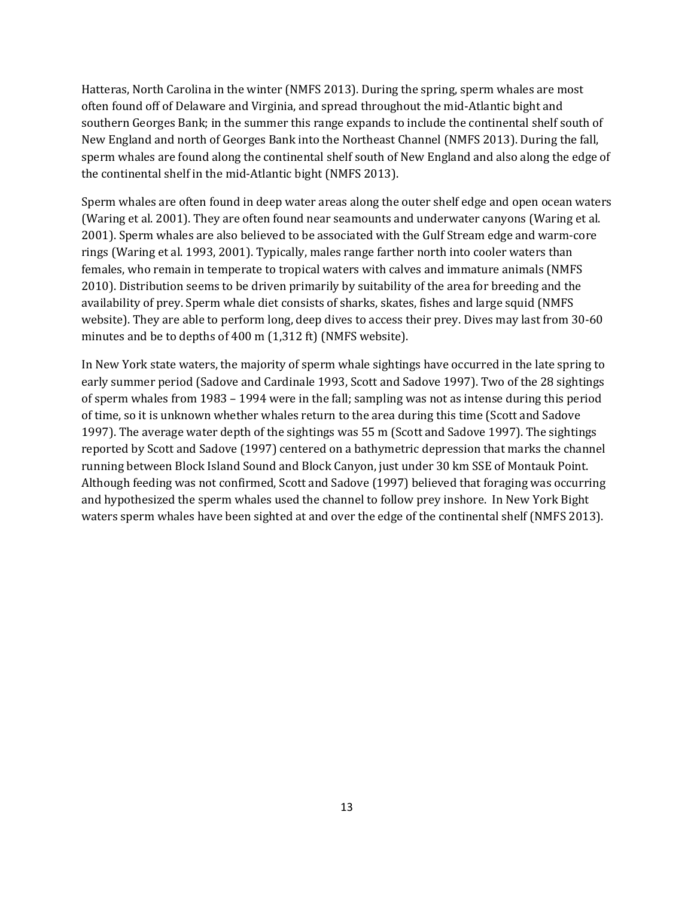Hatteras, North Carolina in the winter (NMFS 2013). During the spring, sperm whales are most often found off of Delaware and Virginia, and spread throughout the mid-Atlantic bight and southern Georges Bank; in the summer this range expands to include the continental shelf south of New England and north of Georges Bank into the Northeast Channel (NMFS 2013). During the fall, sperm whales are found along the continental shelf south of New England and also along the edge of the continental shelf in the mid-Atlantic bight (NMFS 2013).

Sperm whales are often found in deep water areas along the outer shelf edge and open ocean waters (Waring et al. 2001). They are often found near seamounts and underwater canyons (Waring et al. 2001). Sperm whales are also believed to be associated with the Gulf Stream edge and warm-core rings (Waring et al. 1993, 2001). Typically, males range farther north into cooler waters than females, who remain in temperate to tropical waters with calves and immature animals (NMFS 2010). Distribution seems to be driven primarily by suitability of the area for breeding and the availability of prey. Sperm whale diet consists of sharks, skates, fishes and large squid (NMFS website). They are able to perform long, deep dives to access their prey. Dives may last from 30-60 minutes and be to depths of 400 m (1,312 ft) (NMFS website).

In New York state waters, the majority of sperm whale sightings have occurred in the late spring to early summer period (Sadove and Cardinale 1993, Scott and Sadove 1997). Two of the 28 sightings of sperm whales from 1983 – 1994 were in the fall; sampling was not as intense during this period of time, so it is unknown whether whales return to the area during this time (Scott and Sadove 1997). The average water depth of the sightings was 55 m (Scott and Sadove 1997). The sightings reported by Scott and Sadove (1997) centered on a bathymetric depression that marks the channel running between Block Island Sound and Block Canyon, just under 30 km SSE of Montauk Point. Although feeding was not confirmed, Scott and Sadove (1997) believed that foraging was occurring and hypothesized the sperm whales used the channel to follow prey inshore. In New York Bight waters sperm whales have been sighted at and over the edge of the continental shelf (NMFS 2013).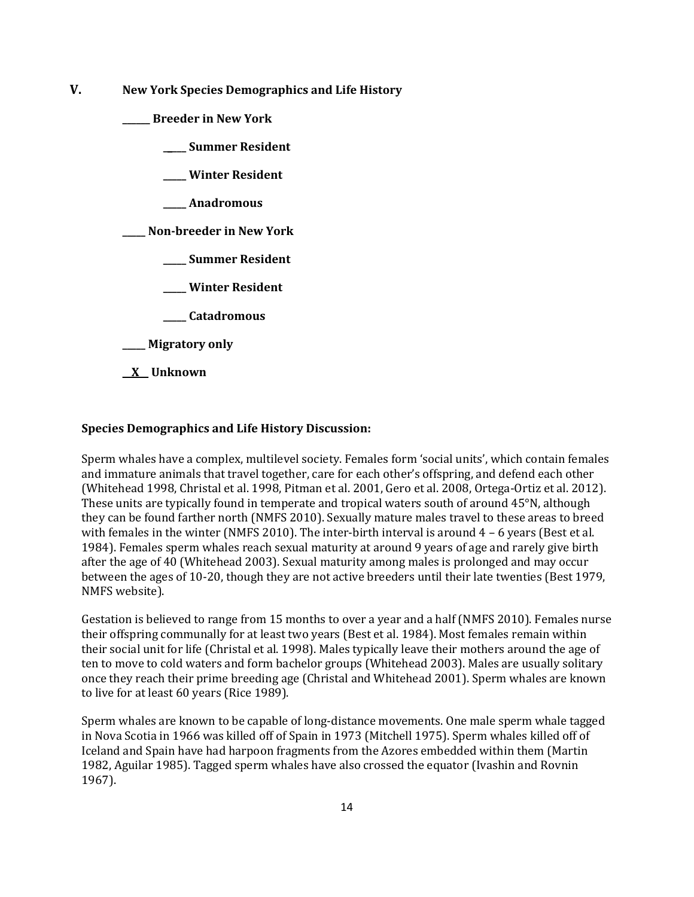**V. New York Species Demographics and Life History**

**\_\_\_\_\_\_ Breeder in New York**

**\_\_\_\_\_ Summer Resident**

**\_\_\_\_\_ Winter Resident**

**\_\_\_\_\_ Anadromous**

**\_\_\_\_\_ Non-breeder in New York**

**\_\_\_\_\_ Summer Resident**

**\_\_\_\_\_ Winter Resident**

**\_\_\_\_\_ Catadromous**

**\_\_\_\_\_ Migratory only**

**\_\_X\_\_ Unknown**

#### **Species Demographics and Life History Discussion:**

Sperm whales have a complex, multilevel society. Females form 'social units', which contain females and immature animals that travel together, care for each other's offspring, and defend each other (Whitehead 1998, Christal et al. 1998, Pitman et al. 2001, Gero et al. 2008, Ortega-Ortiz et al. 2012). These units are typically found in temperate and tropical waters south of around 45°N, although they can be found farther north (NMFS 2010). Sexually mature males travel to these areas to breed with females in the winter (NMFS 2010). The inter-birth interval is around 4 – 6 years (Best et al. 1984). Females sperm whales reach sexual maturity at around 9 years of age and rarely give birth after the age of 40 (Whitehead 2003). Sexual maturity among males is prolonged and may occur between the ages of 10-20, though they are not active breeders until their late twenties (Best 1979, NMFS website).

Gestation is believed to range from 15 months to over a year and a half (NMFS 2010). Females nurse their offspring communally for at least two years (Best et al. 1984). Most females remain within their social unit for life (Christal et al. 1998). Males typically leave their mothers around the age of ten to move to cold waters and form bachelor groups (Whitehead 2003). Males are usually solitary once they reach their prime breeding age (Christal and Whitehead 2001). Sperm whales are known to live for at least 60 years (Rice 1989).

Sperm whales are known to be capable of long-distance movements. One male sperm whale tagged in Nova Scotia in 1966 was killed off of Spain in 1973 (Mitchell 1975). Sperm whales killed off of Iceland and Spain have had harpoon fragments from the Azores embedded within them (Martin 1982, Aguilar 1985). Tagged sperm whales have also crossed the equator (Ivashin and Rovnin 1967).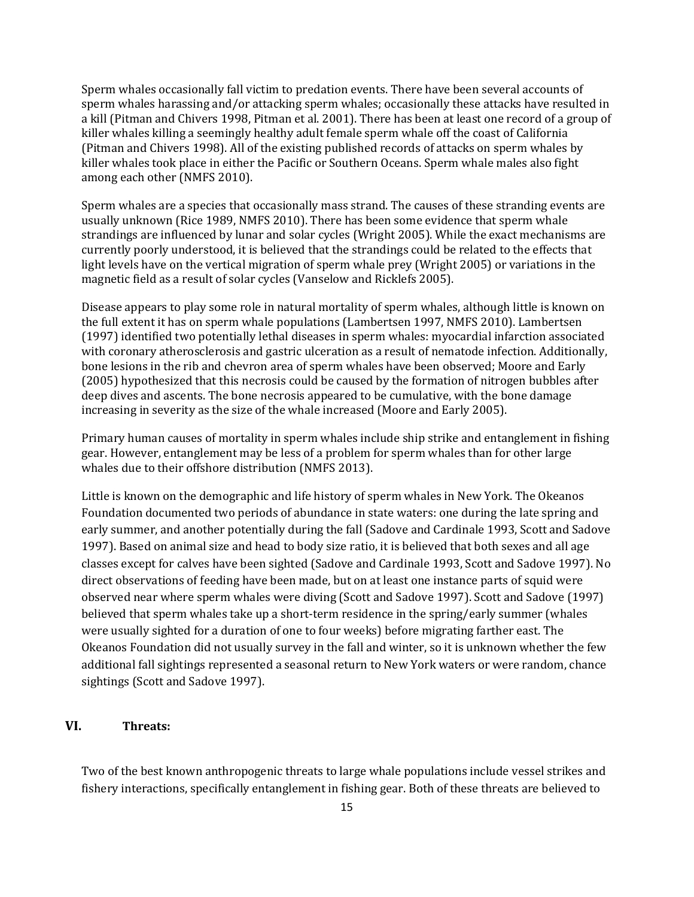Sperm whales occasionally fall victim to predation events. There have been several accounts of sperm whales harassing and/or attacking sperm whales; occasionally these attacks have resulted in a kill (Pitman and Chivers 1998, Pitman et al. 2001). There has been at least one record of a group of killer whales killing a seemingly healthy adult female sperm whale off the coast of California (Pitman and Chivers 1998). All of the existing published records of attacks on sperm whales by killer whales took place in either the Pacific or Southern Oceans. Sperm whale males also fight among each other (NMFS 2010).

Sperm whales are a species that occasionally mass strand. The causes of these stranding events are usually unknown (Rice 1989, NMFS 2010). There has been some evidence that sperm whale strandings are influenced by lunar and solar cycles (Wright 2005). While the exact mechanisms are currently poorly understood, it is believed that the strandings could be related to the effects that light levels have on the vertical migration of sperm whale prey (Wright 2005) or variations in the magnetic field as a result of solar cycles (Vanselow and Ricklefs 2005).

Disease appears to play some role in natural mortality of sperm whales, although little is known on the full extent it has on sperm whale populations (Lambertsen 1997, NMFS 2010). Lambertsen (1997) identified two potentially lethal diseases in sperm whales: myocardial infarction associated with coronary atherosclerosis and gastric ulceration as a result of nematode infection. Additionally, bone lesions in the rib and chevron area of sperm whales have been observed; Moore and Early (2005) hypothesized that this necrosis could be caused by the formation of nitrogen bubbles after deep dives and ascents. The bone necrosis appeared to be cumulative, with the bone damage increasing in severity as the size of the whale increased (Moore and Early 2005).

Primary human causes of mortality in sperm whales include ship strike and entanglement in fishing gear. However, entanglement may be less of a problem for sperm whales than for other large whales due to their offshore distribution (NMFS 2013).

Little is known on the demographic and life history of sperm whales in New York. The Okeanos Foundation documented two periods of abundance in state waters: one during the late spring and early summer, and another potentially during the fall (Sadove and Cardinale 1993, Scott and Sadove 1997). Based on animal size and head to body size ratio, it is believed that both sexes and all age classes except for calves have been sighted (Sadove and Cardinale 1993, Scott and Sadove 1997). No direct observations of feeding have been made, but on at least one instance parts of squid were observed near where sperm whales were diving (Scott and Sadove 1997). Scott and Sadove (1997) believed that sperm whales take up a short-term residence in the spring/early summer (whales were usually sighted for a duration of one to four weeks) before migrating farther east. The Okeanos Foundation did not usually survey in the fall and winter, so it is unknown whether the few additional fall sightings represented a seasonal return to New York waters or were random, chance sightings (Scott and Sadove 1997).

# **VI. Threats:**

Two of the best known anthropogenic threats to large whale populations include vessel strikes and fishery interactions, specifically entanglement in fishing gear. Both of these threats are believed to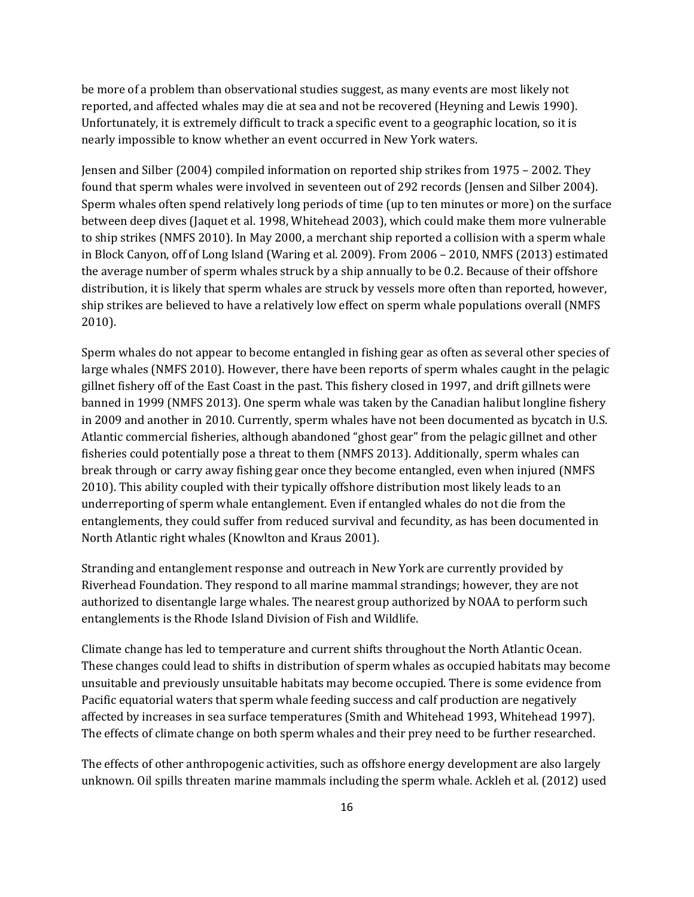be more of a problem than observational studies suggest, as many events are most likely not reported, and affected whales may die at sea and not be recovered (Heyning and Lewis 1990). Unfortunately, it is extremely difficult to track a specific event to a geographic location, so it is nearly impossible to know whether an event occurred in New York waters.

Jensen and Silber (2004) compiled information on reported ship strikes from 1975 – 2002. They found that sperm whales were involved in seventeen out of 292 records (Jensen and Silber 2004). Sperm whales often spend relatively long periods of time (up to ten minutes or more) on the surface between deep dives (Jaquet et al. 1998, Whitehead 2003), which could make them more vulnerable to ship strikes (NMFS 2010). In May 2000, a merchant ship reported a collision with a sperm whale in Block Canyon, off of Long Island (Waring et al. 2009). From 2006 – 2010, NMFS (2013) estimated the average number of sperm whales struck by a ship annually to be 0.2. Because of their offshore distribution, it is likely that sperm whales are struck by vessels more often than reported, however, ship strikes are believed to have a relatively low effect on sperm whale populations overall (NMFS 2010).

Sperm whales do not appear to become entangled in fishing gear as often as several other species of large whales (NMFS 2010). However, there have been reports of sperm whales caught in the pelagic gillnet fishery off of the East Coast in the past. This fishery closed in 1997, and drift gillnets were banned in 1999 (NMFS 2013). One sperm whale was taken by the Canadian halibut longline fishery in 2009 and another in 2010. Currently, sperm whales have not been documented as bycatch in U.S. Atlantic commercial fisheries, although abandoned "ghost gear" from the pelagic gillnet and other fisheries could potentially pose a threat to them (NMFS 2013). Additionally, sperm whales can break through or carry away fishing gear once they become entangled, even when injured (NMFS 2010). This ability coupled with their typically offshore distribution most likely leads to an underreporting of sperm whale entanglement. Even if entangled whales do not die from the entanglements, they could suffer from reduced survival and fecundity, as has been documented in North Atlantic right whales (Knowlton and Kraus 2001).

Stranding and entanglement response and outreach in New York are currently provided by Riverhead Foundation. They respond to all marine mammal strandings; however, they are not authorized to disentangle large whales. The nearest group authorized by NOAA to perform such entanglements is the Rhode Island Division of Fish and Wildlife.

Climate change has led to temperature and current shifts throughout the North Atlantic Ocean. These changes could lead to shifts in distribution of sperm whales as occupied habitats may become unsuitable and previously unsuitable habitats may become occupied. There is some evidence from Pacific equatorial waters that sperm whale feeding success and calf production are negatively affected by increases in sea surface temperatures (Smith and Whitehead 1993, Whitehead 1997). The effects of climate change on both sperm whales and their prey need to be further researched.

The effects of other anthropogenic activities, such as offshore energy development are also largely unknown. Oil spills threaten marine mammals including the sperm whale. Ackleh et al. (2012) used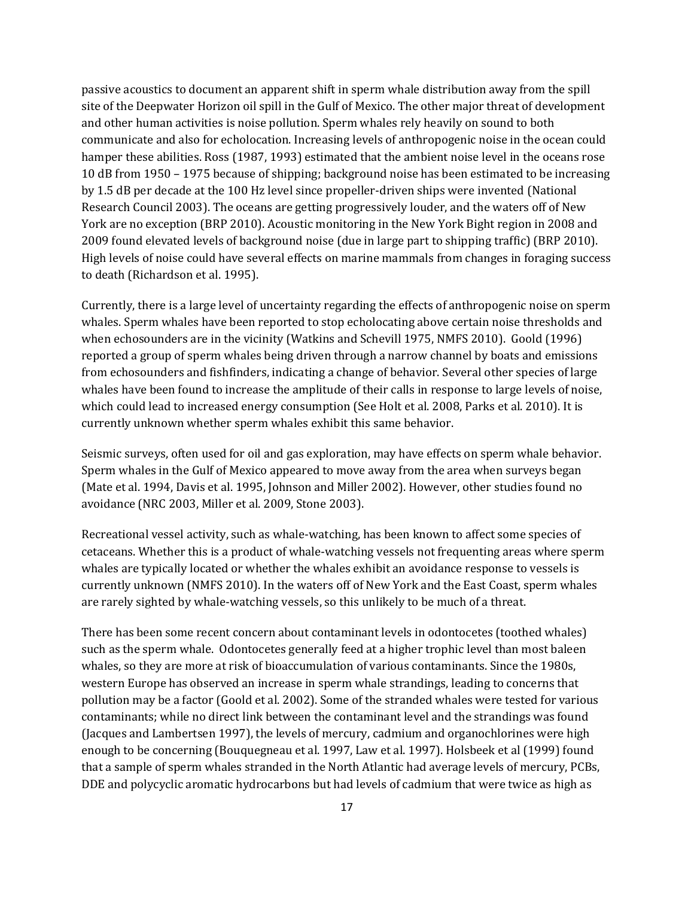passive acoustics to document an apparent shift in sperm whale distribution away from the spill site of the Deepwater Horizon oil spill in the Gulf of Mexico. The other major threat of development and other human activities is noise pollution. Sperm whales rely heavily on sound to both communicate and also for echolocation. Increasing levels of anthropogenic noise in the ocean could hamper these abilities. Ross (1987, 1993) estimated that the ambient noise level in the oceans rose 10 dB from 1950 – 1975 because of shipping; background noise has been estimated to be increasing by 1.5 dB per decade at the 100 Hz level since propeller-driven ships were invented (National Research Council 2003). The oceans are getting progressively louder, and the waters off of New York are no exception (BRP 2010). Acoustic monitoring in the New York Bight region in 2008 and 2009 found elevated levels of background noise (due in large part to shipping traffic) (BRP 2010). High levels of noise could have several effects on marine mammals from changes in foraging success to death (Richardson et al. 1995).

Currently, there is a large level of uncertainty regarding the effects of anthropogenic noise on sperm whales. Sperm whales have been reported to stop echolocating above certain noise thresholds and when echosounders are in the vicinity (Watkins and Schevill 1975, NMFS 2010). Goold (1996) reported a group of sperm whales being driven through a narrow channel by boats and emissions from echosounders and fishfinders, indicating a change of behavior. Several other species of large whales have been found to increase the amplitude of their calls in response to large levels of noise, which could lead to increased energy consumption (See Holt et al. 2008, Parks et al. 2010). It is currently unknown whether sperm whales exhibit this same behavior.

Seismic surveys, often used for oil and gas exploration, may have effects on sperm whale behavior. Sperm whales in the Gulf of Mexico appeared to move away from the area when surveys began (Mate et al. 1994, Davis et al. 1995, Johnson and Miller 2002). However, other studies found no avoidance (NRC 2003, Miller et al. 2009, Stone 2003).

Recreational vessel activity, such as whale-watching, has been known to affect some species of cetaceans. Whether this is a product of whale-watching vessels not frequenting areas where sperm whales are typically located or whether the whales exhibit an avoidance response to vessels is currently unknown (NMFS 2010). In the waters off of New York and the East Coast, sperm whales are rarely sighted by whale-watching vessels, so this unlikely to be much of a threat.

There has been some recent concern about contaminant levels in odontocetes (toothed whales) such as the sperm whale. Odontocetes generally feed at a higher trophic level than most baleen whales, so they are more at risk of bioaccumulation of various contaminants. Since the 1980s, western Europe has observed an increase in sperm whale strandings, leading to concerns that pollution may be a factor (Goold et al. 2002). Some of the stranded whales were tested for various contaminants; while no direct link between the contaminant level and the strandings was found (Jacques and Lambertsen 1997), the levels of mercury, cadmium and organochlorines were high enough to be concerning (Bouquegneau et al. 1997, Law et al. 1997). Holsbeek et al (1999) found that a sample of sperm whales stranded in the North Atlantic had average levels of mercury, PCBs, DDE and polycyclic aromatic hydrocarbons but had levels of cadmium that were twice as high as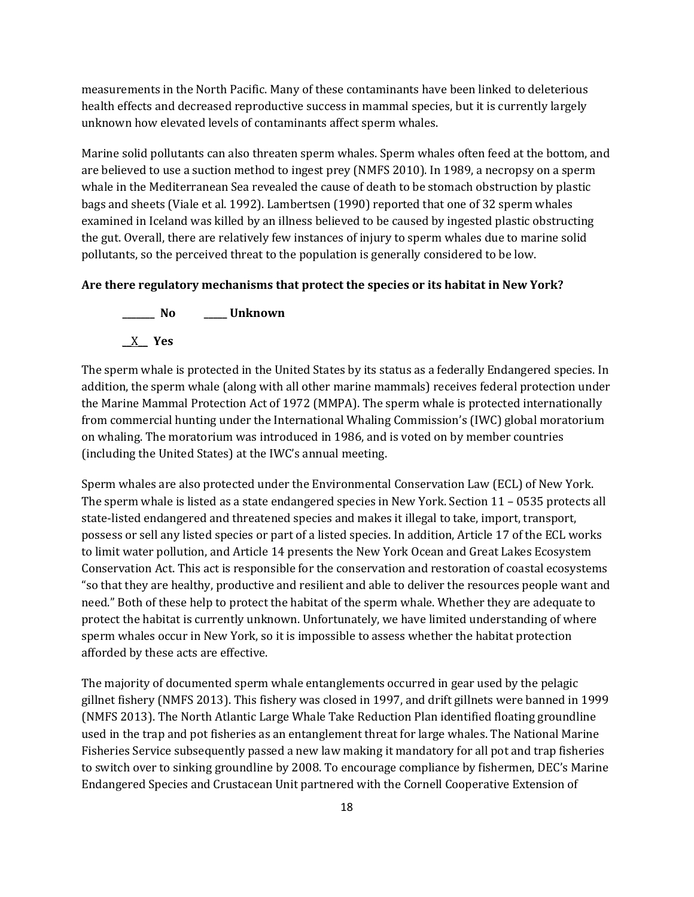measurements in the North Pacific. Many of these contaminants have been linked to deleterious health effects and decreased reproductive success in mammal species, but it is currently largely unknown how elevated levels of contaminants affect sperm whales.

Marine solid pollutants can also threaten sperm whales. Sperm whales often feed at the bottom, and are believed to use a suction method to ingest prey (NMFS 2010). In 1989, a necropsy on a sperm whale in the Mediterranean Sea revealed the cause of death to be stomach obstruction by plastic bags and sheets (Viale et al. 1992). Lambertsen (1990) reported that one of 32 sperm whales examined in Iceland was killed by an illness believed to be caused by ingested plastic obstructing the gut. Overall, there are relatively few instances of injury to sperm whales due to marine solid pollutants, so the perceived threat to the population is generally considered to be low.

#### **Are there regulatory mechanisms that protect the species or its habitat in New York?**



The sperm whale is protected in the United States by its status as a federally Endangered species. In addition, the sperm whale (along with all other marine mammals) receives federal protection under the Marine Mammal Protection Act of 1972 (MMPA). The sperm whale is protected internationally from commercial hunting under the International Whaling Commission's (IWC) global moratorium on whaling. The moratorium was introduced in 1986, and is voted on by member countries (including the United States) at the IWC's annual meeting.

Sperm whales are also protected under the Environmental Conservation Law (ECL) of New York. The sperm whale is listed as a state endangered species in New York. Section 11 – 0535 protects all state-listed endangered and threatened species and makes it illegal to take, import, transport, possess or sell any listed species or part of a listed species. In addition, Article 17 of the ECL works to limit water pollution, and Article 14 presents the New York Ocean and Great Lakes Ecosystem Conservation Act. This act is responsible for the conservation and restoration of coastal ecosystems "so that they are healthy, productive and resilient and able to deliver the resources people want and need." Both of these help to protect the habitat of the sperm whale. Whether they are adequate to protect the habitat is currently unknown. Unfortunately, we have limited understanding of where sperm whales occur in New York, so it is impossible to assess whether the habitat protection afforded by these acts are effective.

The majority of documented sperm whale entanglements occurred in gear used by the pelagic gillnet fishery (NMFS 2013). This fishery was closed in 1997, and drift gillnets were banned in 1999 (NMFS 2013). The North Atlantic Large Whale Take Reduction Plan identified floating groundline used in the trap and pot fisheries as an entanglement threat for large whales. The National Marine Fisheries Service subsequently passed a new law making it mandatory for all pot and trap fisheries to switch over to sinking groundline by 2008. To encourage compliance by fishermen, DEC's Marine Endangered Species and Crustacean Unit partnered with the Cornell Cooperative Extension of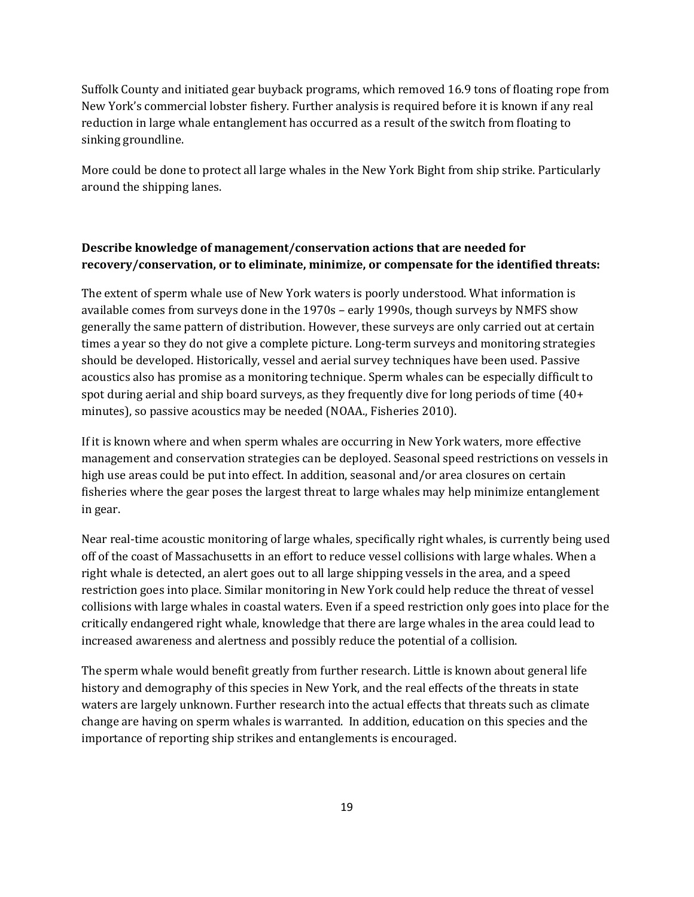Suffolk County and initiated gear buyback programs, which removed 16.9 tons of floating rope from New York's commercial lobster fishery. Further analysis is required before it is known if any real reduction in large whale entanglement has occurred as a result of the switch from floating to sinking groundline.

More could be done to protect all large whales in the New York Bight from ship strike. Particularly around the shipping lanes.

# **Describe knowledge of management/conservation actions that are needed for recovery/conservation, or to eliminate, minimize, or compensate for the identified threats:**

The extent of sperm whale use of New York waters is poorly understood. What information is available comes from surveys done in the 1970s – early 1990s, though surveys by NMFS show generally the same pattern of distribution. However, these surveys are only carried out at certain times a year so they do not give a complete picture. Long-term surveys and monitoring strategies should be developed. Historically, vessel and aerial survey techniques have been used. Passive acoustics also has promise as a monitoring technique. Sperm whales can be especially difficult to spot during aerial and ship board surveys, as they frequently dive for long periods of time (40+ minutes), so passive acoustics may be needed (NOAA., Fisheries 2010).

If it is known where and when sperm whales are occurring in New York waters, more effective management and conservation strategies can be deployed. Seasonal speed restrictions on vessels in high use areas could be put into effect. In addition, seasonal and/or area closures on certain fisheries where the gear poses the largest threat to large whales may help minimize entanglement in gear.

Near real-time acoustic monitoring of large whales, specifically right whales, is currently being used off of the coast of Massachusetts in an effort to reduce vessel collisions with large whales. When a right whale is detected, an alert goes out to all large shipping vessels in the area, and a speed restriction goes into place. Similar monitoring in New York could help reduce the threat of vessel collisions with large whales in coastal waters. Even if a speed restriction only goes into place for the critically endangered right whale, knowledge that there are large whales in the area could lead to increased awareness and alertness and possibly reduce the potential of a collision.

The sperm whale would benefit greatly from further research. Little is known about general life history and demography of this species in New York, and the real effects of the threats in state waters are largely unknown. Further research into the actual effects that threats such as climate change are having on sperm whales is warranted. In addition, education on this species and the importance of reporting ship strikes and entanglements is encouraged.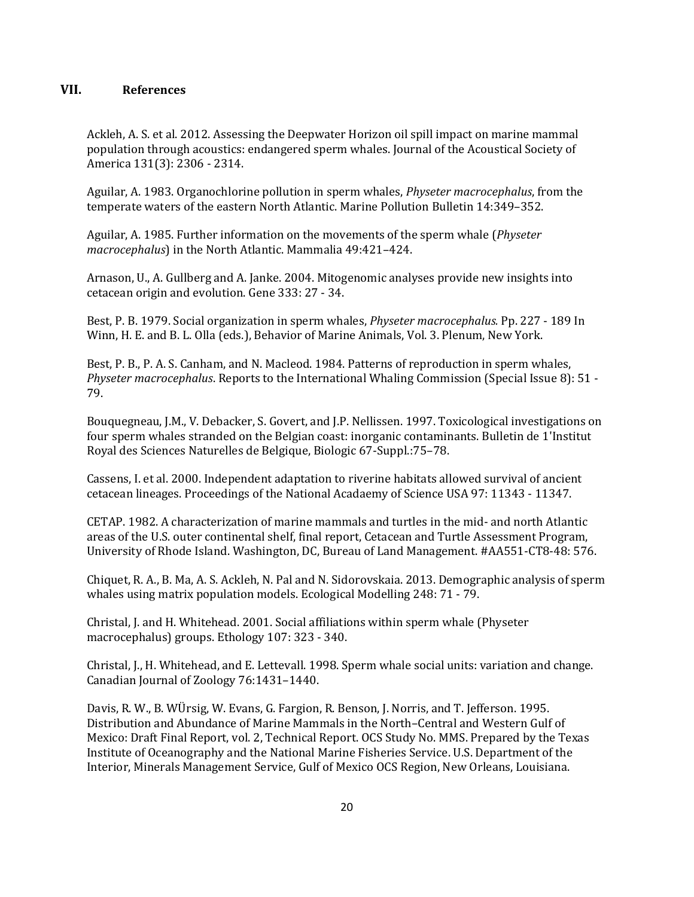# **VII. References**

Ackleh, A. S. et al. 2012. Assessing the Deepwater Horizon oil spill impact on marine mammal population through acoustics: endangered sperm whales. Journal of the Acoustical Society of America 131(3): 2306 - 2314.

Aguilar, A. 1983. Organochlorine pollution in sperm whales, *Physeter macrocephalus*, from the temperate waters of the eastern North Atlantic. Marine Pollution Bulletin 14:349–352.

Aguilar, A. 1985. Further information on the movements of the sperm whale (*Physeter macrocephalus*) in the North Atlantic. Mammalia 49:421–424.

Arnason, U., A. Gullberg and A. Janke. 2004. Mitogenomic analyses provide new insights into cetacean origin and evolution. Gene 333: 27 - 34.

Best, P. B. 1979. Social organization in sperm whales, *Physeter macrocephalus.* Pp. 227 - 189 In Winn, H. E. and B. L. Olla (eds.), Behavior of Marine Animals, Vol. 3. Plenum, New York.

Best, P. B., P. A. S. Canham, and N. Macleod. 1984. Patterns of reproduction in sperm whales, *Physeter macrocephalus*. Reports to the International Whaling Commission (Special Issue 8): 51 - 79.

Bouquegneau, J.M., V. Debacker, S. Govert, and J.P. Nellissen. 1997. Toxicological investigations on four sperm whales stranded on the Belgian coast: inorganic contaminants. Bulletin de 1'Institut Royal des Sciences Naturelles de Belgique, Biologic 67-Suppl.:75–78.

Cassens, I. et al. 2000. Independent adaptation to riverine habitats allowed survival of ancient cetacean lineages. Proceedings of the National Acadaemy of Science USA 97: 11343 - 11347.

CETAP. 1982. A characterization of marine mammals and turtles in the mid- and north Atlantic areas of the U.S. outer continental shelf, final report, Cetacean and Turtle Assessment Program, University of Rhode Island. Washington, DC, Bureau of Land Management. #AA551-CT8-48: 576.

Chiquet, R. A., B. Ma, A. S. Ackleh, N. Pal and N. Sidorovskaia. 2013. Demographic analysis of sperm whales using matrix population models. Ecological Modelling 248: 71 - 79.

Christal, J. and H. Whitehead. 2001. Social affiliations within sperm whale (Physeter macrocephalus) groups. Ethology 107: 323 - 340.

Christal, J., H. Whitehead, and E. Lettevall. 1998. Sperm whale social units: variation and change. Canadian Journal of Zoology 76:1431–1440.

Davis, R. W., B. WÜrsig, W. Evans, G. Fargion, R. Benson, J. Norris, and T. Jefferson. 1995. Distribution and Abundance of Marine Mammals in the North–Central and Western Gulf of Mexico: Draft Final Report, vol. 2, Technical Report. OCS Study No. MMS. Prepared by the Texas Institute of Oceanography and the National Marine Fisheries Service. U.S. Department of the Interior, Minerals Management Service, Gulf of Mexico OCS Region, New Orleans, Louisiana.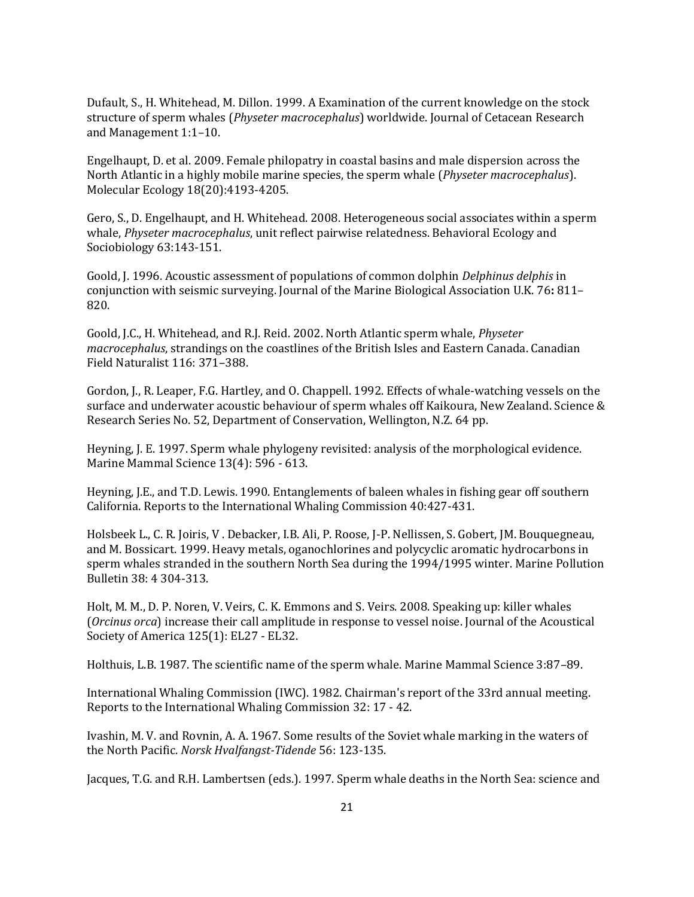Dufault, S., H. Whitehead, M. Dillon. 1999. A Examination of the current knowledge on the stock structure of sperm whales (*Physeter macrocephalus*) worldwide. Journal of Cetacean Research and Management 1:1–10.

Engelhaupt, D. et al. 2009. Female philopatry in coastal basins and male dispersion across the North Atlantic in a highly mobile marine species, the sperm whale (*Physeter macrocephalus*). Molecular Ecology 18(20):4193-4205.

Gero, S., D. Engelhaupt, and H. Whitehead. 2008. Heterogeneous social associates within a sperm whale, *Physeter macrocephalus*, unit reflect pairwise relatedness. Behavioral Ecology and Sociobiology 63:143-151.

Goold, J. 1996. Acoustic assessment of populations of common dolphin *Delphinus delphis* in conjunction with seismic surveying. Journal of the Marine Biological Association U.K. 76**:** 811– 820.

Goold, J.C., H. Whitehead, and R.J. Reid. 2002. North Atlantic sperm whale, *Physeter macrocephalus*, strandings on the coastlines of the British Isles and Eastern Canada. Canadian Field Naturalist 116: 371–388.

Gordon, J., R. Leaper, F.G. Hartley, and O. Chappell. 1992. Effects of whale-watching vessels on the surface and underwater acoustic behaviour of sperm whales off Kaikoura, New Zealand. Science & Research Series No. 52, Department of Conservation, Wellington, N.Z. 64 pp.

Heyning, J. E. 1997. Sperm whale phylogeny revisited: analysis of the morphological evidence. Marine Mammal Science 13(4): 596 - 613.

Heyning, J.E., and T.D. Lewis. 1990. Entanglements of baleen whales in fishing gear off southern California. Reports to the International Whaling Commission 40:427-431.

Holsbeek L., C. R. Joiris, V . Debacker, I.B. Ali, P. Roose, J-P. Nellissen, S. Gobert, JM. Bouquegneau, and M. Bossicart. 1999. Heavy metals, oganochlorines and polycyclic aromatic hydrocarbons in sperm whales stranded in the southern North Sea during the 1994/1995 winter. Marine Pollution Bulletin 38: 4 304-313.

Holt, M. M., D. P. Noren, V. Veirs, C. K. Emmons and S. Veirs. 2008. Speaking up: killer whales (*Orcinus orca*) increase their call amplitude in response to vessel noise. Journal of the Acoustical Society of America 125(1): EL27 - EL32.

Holthuis, L.B. 1987. The scientific name of the sperm whale. Marine Mammal Science 3:87–89.

International Whaling Commission (IWC). 1982. Chairman's report of the 33rd annual meeting. Reports to the International Whaling Commission 32: 17 - 42.

Ivashin, M. V. and Rovnin, A. A. 1967. Some results of the Soviet whale marking in the waters of the North Pacific. *Norsk Hvalfangst-Tidende* 56: 123-135.

Jacques, T.G. and R.H. Lambertsen (eds.). 1997. Sperm whale deaths in the North Sea: science and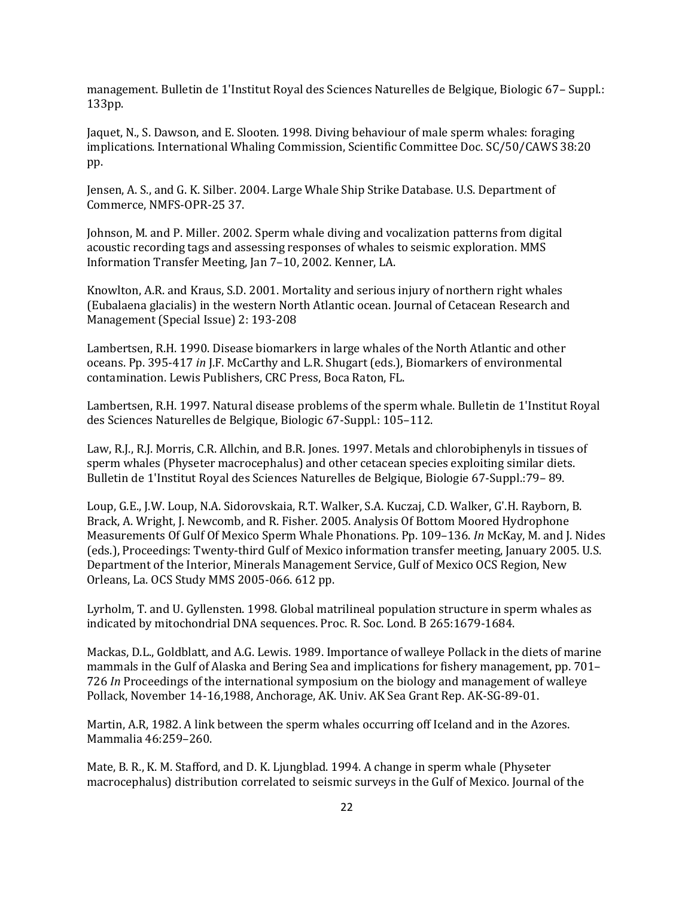management. Bulletin de 1'Institut Royal des Sciences Naturelles de Belgique, Biologic 67– Suppl.: 133pp.

Jaquet, N., S. Dawson, and E. Slooten. 1998. Diving behaviour of male sperm whales: foraging implications. International Whaling Commission, Scientific Committee Doc. SC/50/CAWS 38:20 pp.

Jensen, A. S., and G. K. Silber. 2004. Large Whale Ship Strike Database. U.S. Department of Commerce, NMFS-OPR-25 37.

Johnson, M. and P. Miller. 2002. Sperm whale diving and vocalization patterns from digital acoustic recording tags and assessing responses of whales to seismic exploration. MMS Information Transfer Meeting, Jan 7–10, 2002. Kenner, LA.

Knowlton, A.R. and Kraus, S.D. 2001. Mortality and serious injury of northern right whales (Eubalaena glacialis) in the western North Atlantic ocean. Journal of Cetacean Research and Management (Special Issue) 2: 193-208

Lambertsen, R.H. 1990. Disease biomarkers in large whales of the North Atlantic and other oceans. Pp. 395-417 *in* J.F. McCarthy and L.R. Shugart (eds.), Biomarkers of environmental contamination. Lewis Publishers, CRC Press, Boca Raton, FL.

Lambertsen, R.H. 1997. Natural disease problems of the sperm whale. Bulletin de 1'Institut Royal des Sciences Naturelles de Belgique, Biologic 67-Suppl.: 105–112.

Law, R.J., R.J. Morris, C.R. Allchin, and B.R. Jones. 1997. Metals and chlorobiphenyls in tissues of sperm whales (Physeter macrocephalus) and other cetacean species exploiting similar diets. Bulletin de 1'Institut Royal des Sciences Naturelles de Belgique, Biologie 67-Suppl.:79– 89.

Loup, G.E., J.W. Loup, N.A. Sidorovskaia, R.T. Walker, S.A. Kuczaj, C.D. Walker, G'.H. Rayborn, B. Brack, A. Wright, J. Newcomb, and R. Fisher. 2005. Analysis Of Bottom Moored Hydrophone Measurements Of Gulf Of Mexico Sperm Whale Phonations. Pp. 109–136. *In* McKay, M. and J. Nides (eds.), Proceedings: Twenty-third Gulf of Mexico information transfer meeting, January 2005. U.S. Department of the Interior, Minerals Management Service, Gulf of Mexico OCS Region, New Orleans, La. OCS Study MMS 2005-066. 612 pp.

Lyrholm, T. and U. Gyllensten. 1998. Global matrilineal population structure in sperm whales as indicated by mitochondrial DNA sequences. Proc. R. Soc. Lond. B 265:1679-1684.

Mackas, D.L., Goldblatt, and A.G. Lewis. 1989. Importance of walleye Pollack in the diets of marine mammals in the Gulf of Alaska and Bering Sea and implications for fishery management, pp. 701– 726 *In* Proceedings of the international symposium on the biology and management of walleye Pollack, November 14-16,1988, Anchorage, AK. Univ. AK Sea Grant Rep. AK-SG-89-01.

Martin, A.R, 1982. A link between the sperm whales occurring off Iceland and in the Azores. Mammalia 46:259–260.

Mate, B. R., K. M. Stafford, and D. K. Ljungblad. 1994. A change in sperm whale (Physeter macrocephalus) distribution correlated to seismic surveys in the Gulf of Mexico. Journal of the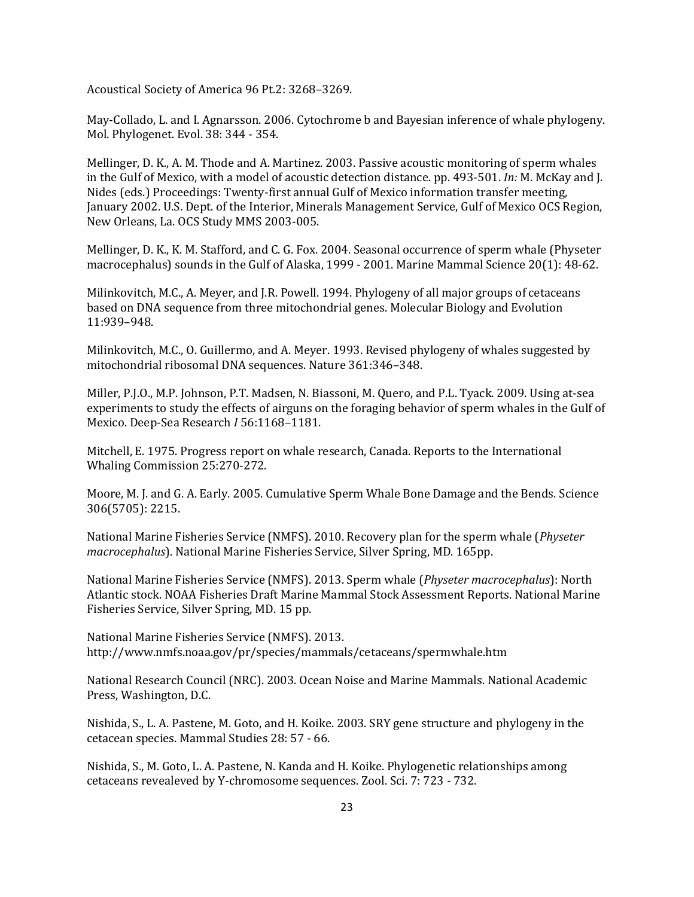Acoustical Society of America 96 Pt.2: 3268–3269.

May-Collado, L. and I. Agnarsson. 2006. Cytochrome b and Bayesian inference of whale phylogeny. Mol. Phylogenet. Evol. 38: 344 - 354.

Mellinger, D. K., A. M. Thode and A. Martinez. 2003. Passive acoustic monitoring of sperm whales in the Gulf of Mexico, with a model of acoustic detection distance. pp. 493-501. *In:* M. McKay and J. Nides (eds.) Proceedings: Twenty-first annual Gulf of Mexico information transfer meeting, January 2002. U.S. Dept. of the Interior, Minerals Management Service, Gulf of Mexico OCS Region, New Orleans, La. OCS Study MMS 2003-005.

Mellinger, D. K., K. M. Stafford, and C. G. Fox. 2004. Seasonal occurrence of sperm whale (Physeter macrocephalus) sounds in the Gulf of Alaska, 1999 - 2001. Marine Mammal Science 20(1): 48-62.

Milinkovitch, M.C., A. Meyer, and J.R. Powell. 1994. Phylogeny of all major groups of cetaceans based on DNA sequence from three mitochondrial genes. Molecular Biology and Evolution 11:939–948.

Milinkovitch, M.C., O. Guillermo, and A. Meyer. 1993. Revised phylogeny of whales suggested by mitochondrial ribosomal DNA sequences. Nature 361:346–348.

Miller, P.J.O., M.P. Johnson, P.T. Madsen, N. Biassoni, M. Quero, and P.L. Tyack. 2009. Using at-sea experiments to study the effects of airguns on the foraging behavior of sperm whales in the Gulf of Mexico. Deep-Sea Research *I* 56:1168–1181.

Mitchell, E. 1975. Progress report on whale research, Canada. Reports to the International Whaling Commission 25:270-272.

Moore, M. J. and G. A. Early. 2005. Cumulative Sperm Whale Bone Damage and the Bends. Science 306(5705): 2215.

National Marine Fisheries Service (NMFS). 2010. Recovery plan for the sperm whale (*Physeter macrocephalus*). National Marine Fisheries Service, Silver Spring, MD. 165pp.

National Marine Fisheries Service (NMFS). 2013. Sperm whale (*Physeter macrocephalus*): North Atlantic stock. NOAA Fisheries Draft Marine Mammal Stock Assessment Reports. National Marine Fisheries Service, Silver Spring, MD. 15 pp.

National Marine Fisheries Service (NMFS). 2013. http://www.nmfs.noaa.gov/pr/species/mammals/cetaceans/spermwhale.htm

National Research Council (NRC). 2003. Ocean Noise and Marine Mammals. National Academic Press, Washington, D.C.

Nishida, S., L. A. Pastene, M. Goto, and H. Koike. 2003. SRY gene structure and phylogeny in the cetacean species. Mammal Studies 28: 57 - 66.

Nishida, S., M. Goto, L. A. Pastene, N. Kanda and H. Koike. Phylogenetic relationships among cetaceans revealeved by Y-chromosome sequences. Zool. Sci. 7: 723 - 732.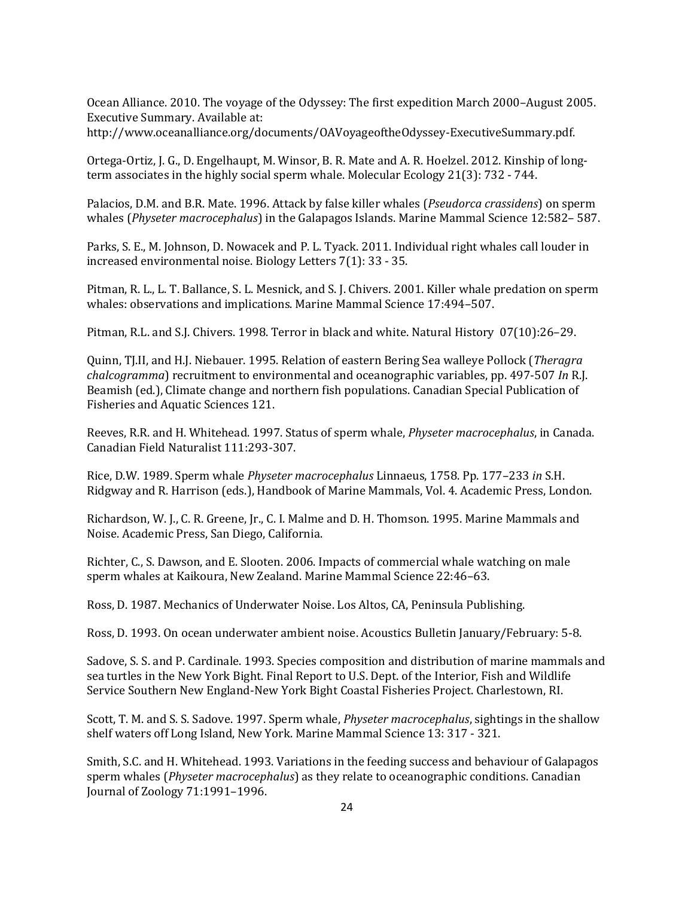Ocean Alliance. 2010. The voyage of the Odyssey: The first expedition March 2000–August 2005. Executive Summary. Available at:

http://www.oceanalliance.org/documents/OAVoyageoftheOdyssey-ExecutiveSummary.pdf.

Ortega-Ortiz, J. G., D. Engelhaupt, M. Winsor, B. R. Mate and A. R. Hoelzel. 2012. Kinship of longterm associates in the highly social sperm whale. Molecular Ecology 21(3): 732 - 744.

Palacios, D.M. and B.R. Mate. 1996. Attack by false killer whales (*Pseudorca crassidens*) on sperm whales (*Physeter macrocephalus*) in the Galapagos Islands. Marine Mammal Science 12:582– 587.

Parks, S. E., M. Johnson, D. Nowacek and P. L. Tyack. 2011. Individual right whales call louder in increased environmental noise. Biology Letters 7(1): 33 - 35.

Pitman, R. L., L. T. Ballance, S. L. Mesnick, and S. J. Chivers. 2001. Killer whale predation on sperm whales: observations and implications. Marine Mammal Science 17:494–507.

Pitman, R.L. and S.J. Chivers. 1998. Terror in black and white. Natural History07(10):26–29.

Quinn, TJ.II, and H.J. Niebauer. 1995. Relation of eastern Bering Sea walleye Pollock (*Theragra chalcogramma*) recruitment to environmental and oceanographic variables, pp. 497-507 *In* R.J. Beamish (ed.), Climate change and northern fish populations. Canadian Special Publication of Fisheries and Aquatic Sciences 121.

Reeves, R.R. and H. Whitehead. 1997. Status of sperm whale, *Physeter macrocephalus*, in Canada. Canadian Field Naturalist 111:293-307.

Rice, D.W. 1989. Sperm whale *Physeter macrocephalus* Linnaeus, 1758. Pp. 177–233 *in* S.H. Ridgway and R. Harrison (eds.), Handbook of Marine Mammals, Vol. 4. Academic Press, London.

Richardson, W. J., C. R. Greene, Jr., C. I. Malme and D. H. Thomson. 1995. Marine Mammals and Noise. Academic Press, San Diego, California.

Richter, C., S. Dawson, and E. Slooten. 2006. Impacts of commercial whale watching on male sperm whales at Kaikoura, New Zealand. Marine Mammal Science 22:46–63.

Ross, D. 1987. Mechanics of Underwater Noise. Los Altos, CA, Peninsula Publishing.

Ross, D. 1993. On ocean underwater ambient noise. Acoustics Bulletin January/February: 5-8.

Sadove, S. S. and P. Cardinale. 1993. Species composition and distribution of marine mammals and sea turtles in the New York Bight. Final Report to U.S. Dept. of the Interior, Fish and Wildlife Service Southern New England-New York Bight Coastal Fisheries Project. Charlestown, RI.

Scott, T. M. and S. S. Sadove. 1997. Sperm whale, *Physeter macrocephalus*, sightings in the shallow shelf waters off Long Island, New York. Marine Mammal Science 13: 317 - 321.

Smith, S.C. and H. Whitehead. 1993. Variations in the feeding success and behaviour of Galapagos sperm whales (*Physeter macrocephalus*) as they relate to oceanographic conditions. Canadian Journal of Zoology 71:1991–1996.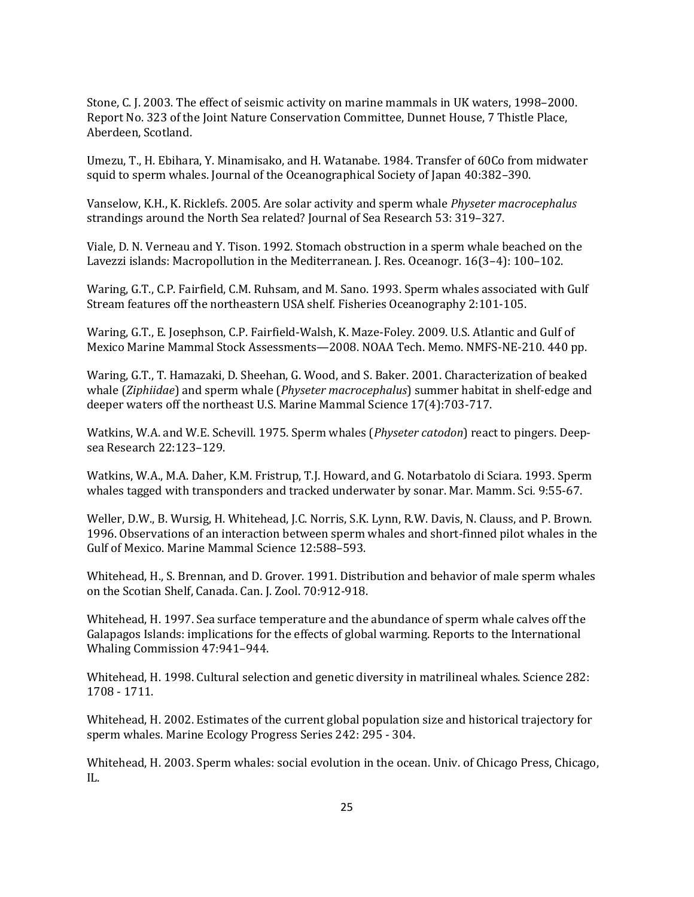Stone, C. J. 2003. The effect of seismic activity on marine mammals in UK waters, 1998–2000. Report No. 323 of the Joint Nature Conservation Committee, Dunnet House, 7 Thistle Place, Aberdeen, Scotland.

Umezu, T., H. Ebihara, Y. Minamisako, and H. Watanabe. 1984. Transfer of 60Co from midwater squid to sperm whales. Journal of the Oceanographical Society of Japan 40:382–390.

Vanselow, K.H., K. Ricklefs. 2005. Are solar activity and sperm whale *Physeter macrocephalus*  strandings around the North Sea related? Journal of Sea Research 53: 319–327.

Viale, D. N. Verneau and Y. Tison. 1992. Stomach obstruction in a sperm whale beached on the Lavezzi islands: Macropollution in the Mediterranean. J. Res. Oceanogr. 16(3–4): 100–102.

Waring, G.T., C.P. Fairfield, C.M. Ruhsam, and M. Sano. 1993. Sperm whales associated with Gulf Stream features off the northeastern USA shelf*.* Fisheries Oceanography 2:101-105.

Waring, G.T., E. Josephson, C.P. Fairfield-Walsh, K. Maze-Foley. 2009. U.S. Atlantic and Gulf of Mexico Marine Mammal Stock Assessments—2008. NOAA Tech. Memo. NMFS-NE-210. 440 pp.

Waring, G.T., T. Hamazaki, D. Sheehan, G. Wood, and S. Baker. 2001. Characterization of beaked whale (*Ziphiidae*) and sperm whale (*Physeter macrocephalus*) summer habitat in shelf-edge and deeper waters off the northeast U.S. Marine Mammal Science 17(4):703-717.

Watkins, W.A. and W.E. Schevill. 1975. Sperm whales (*Physeter catodon*) react to pingers. Deepsea Research 22:123–129.

Watkins, W.A., M.A. Daher, K.M. Fristrup, T.J. Howard, and G. Notarbatolo di Sciara. 1993. Sperm whales tagged with transponders and tracked underwater by sonar. Mar. Mamm. Sci*.* 9:55-67.

Weller, D.W., B. Wursig, H. Whitehead, J.C. Norris, S.K. Lynn, R.W. Davis, N. Clauss, and P. Brown. 1996. Observations of an interaction between sperm whales and short-finned pilot whales in the Gulf of Mexico. Marine Mammal Science 12:588–593.

Whitehead, H., S. Brennan, and D. Grover. 1991. Distribution and behavior of male sperm whales on the Scotian Shelf, Canada. Can. J. Zool. 70:912-918.

Whitehead, H. 1997. Sea surface temperature and the abundance of sperm whale calves off the Galapagos Islands: implications for the effects of global warming. Reports to the International Whaling Commission 47:941–944.

Whitehead, H. 1998. Cultural selection and genetic diversity in matrilineal whales. Science 282: 1708 - 1711.

Whitehead, H. 2002. Estimates of the current global population size and historical trajectory for sperm whales. Marine Ecology Progress Series 242: 295 - 304.

Whitehead, H. 2003. Sperm whales: social evolution in the ocean. Univ. of Chicago Press, Chicago, IL.